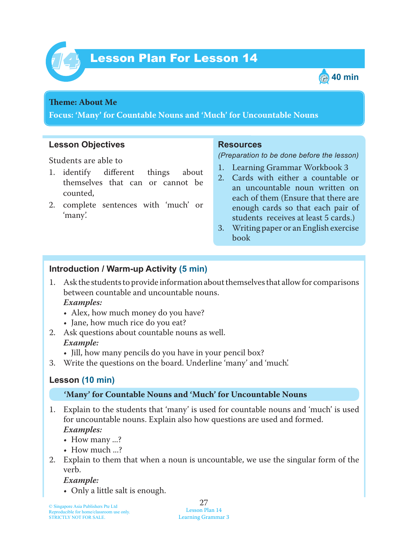



### **Theme: About** Me

**Focus: 'Many' for Countable Nouns and 'Much' for Uncountable Nouns**

#### **Lesson Objectives**

Students are able to

- 1. identify different things about themselves that can or cannot be counted,
- 2. complete sentences with 'much' or 'many'.

#### **Resources**

*(Preparation to be done before the lesson)*

- 1. Learning Grammar Workbook 3
- 2. Cards with either a countable or an uncountable noun written on each of them (Ensure that there are enough cards so that each pair of students receives at least 5 cards.)
- 3. Writing paper or an English exercise book

### **Introduction / Warm-up Activity (5 min)**

- 1. Ask the students to provide information about themselves that allow for comparisons between countable and uncountable nouns.  *Examples:*
	- Alex, how much money do you have?
	- Jane, how much rice do you eat?
- 2. Ask questions about countable nouns as well.  *Example:*
	- Jill, how many pencils do you have in your pencil box?
- 3. Write the questions on the board. Underline 'many' and 'much'.

### **Lesson (10 min)**

### **'Many' for Countable Nouns and 'Much' for Uncountable Nouns**

- 1. Explain to the students that 'many' is used for countable nouns and 'much' is used for uncountable nouns. Explain also how questions are used and formed.  *Examples:*
	- How many ...?
	- How much ...?
- 2. Explain to them that when a noun is uncountable, we use the singular form of the verb.

 *Example:*

• Only a little salt is enough.